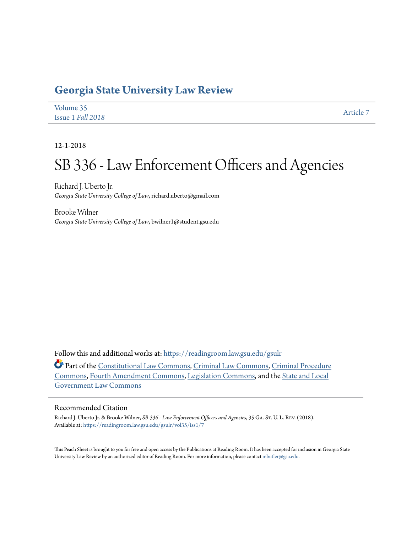## **[Georgia State University Law Review](https://readingroom.law.gsu.edu/gsulr?utm_source=readingroom.law.gsu.edu%2Fgsulr%2Fvol35%2Fiss1%2F7&utm_medium=PDF&utm_campaign=PDFCoverPages)**

| Volume 35         | Article 7 |
|-------------------|-----------|
| Issue 1 Fall 2018 |           |

12-1-2018

# SB 336 - Law Enforcement Officers and Agencies

Richard J. Uberto Jr. *Georgia State University College of Law*, richard.uberto@gmail.com

Brooke Wilner *Georgia State University College of Law*, bwilner1@student.gsu.edu

Follow this and additional works at: [https://readingroom.law.gsu.edu/gsulr](https://readingroom.law.gsu.edu/gsulr?utm_source=readingroom.law.gsu.edu%2Fgsulr%2Fvol35%2Fiss1%2F7&utm_medium=PDF&utm_campaign=PDFCoverPages)

Part of the [Constitutional Law Commons,](http://network.bepress.com/hgg/discipline/589?utm_source=readingroom.law.gsu.edu%2Fgsulr%2Fvol35%2Fiss1%2F7&utm_medium=PDF&utm_campaign=PDFCoverPages) [Criminal Law Commons](http://network.bepress.com/hgg/discipline/912?utm_source=readingroom.law.gsu.edu%2Fgsulr%2Fvol35%2Fiss1%2F7&utm_medium=PDF&utm_campaign=PDFCoverPages), [Criminal Procedure](http://network.bepress.com/hgg/discipline/1073?utm_source=readingroom.law.gsu.edu%2Fgsulr%2Fvol35%2Fiss1%2F7&utm_medium=PDF&utm_campaign=PDFCoverPages) [Commons,](http://network.bepress.com/hgg/discipline/1073?utm_source=readingroom.law.gsu.edu%2Fgsulr%2Fvol35%2Fiss1%2F7&utm_medium=PDF&utm_campaign=PDFCoverPages) [Fourth Amendment Commons](http://network.bepress.com/hgg/discipline/1180?utm_source=readingroom.law.gsu.edu%2Fgsulr%2Fvol35%2Fiss1%2F7&utm_medium=PDF&utm_campaign=PDFCoverPages), [Legislation Commons,](http://network.bepress.com/hgg/discipline/859?utm_source=readingroom.law.gsu.edu%2Fgsulr%2Fvol35%2Fiss1%2F7&utm_medium=PDF&utm_campaign=PDFCoverPages) and the [State and Local](http://network.bepress.com/hgg/discipline/879?utm_source=readingroom.law.gsu.edu%2Fgsulr%2Fvol35%2Fiss1%2F7&utm_medium=PDF&utm_campaign=PDFCoverPages) [Government Law Commons](http://network.bepress.com/hgg/discipline/879?utm_source=readingroom.law.gsu.edu%2Fgsulr%2Fvol35%2Fiss1%2F7&utm_medium=PDF&utm_campaign=PDFCoverPages)

#### Recommended Citation

Richard J. Uberto Jr. & Brooke Wilner, *SB 336 - Law Enforcement Officers and Agencies*, 35 Ga. St. U. L. Rev. (2018). Available at: [https://readingroom.law.gsu.edu/gsulr/vol35/iss1/7](https://readingroom.law.gsu.edu/gsulr/vol35/iss1/7?utm_source=readingroom.law.gsu.edu%2Fgsulr%2Fvol35%2Fiss1%2F7&utm_medium=PDF&utm_campaign=PDFCoverPages)

This Peach Sheet is brought to you for free and open access by the Publications at Reading Room. It has been accepted for inclusion in Georgia State University Law Review by an authorized editor of Reading Room. For more information, please contact [mbutler@gsu.edu.](mailto:mbutler@gsu.edu)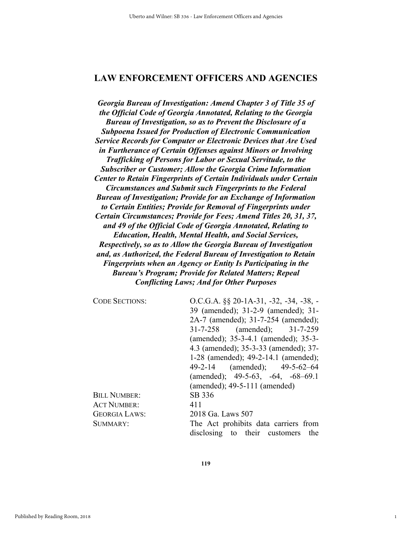### **LAW ENFORCEMENT OFFICERS AND AGENCIES**

*Georgia Bureau of Investigation: Amend Chapter 3 of Title 35 of the Official Code of Georgia Annotated, Relating to the Georgia Bureau of Investigation, so as to Prevent the Disclosure of a Subpoena Issued for Production of Electronic Communication Service Records for Computer or Electronic Devices that Are Used in Furtherance of Certain Offenses against Minors or Involving Trafficking of Persons for Labor or Sexual Servitude, to the Subscriber or Customer; Allow the Georgia Crime Information Center to Retain Fingerprints of Certain Individuals under Certain Circumstances and Submit such Fingerprints to the Federal Bureau of Investigation; Provide for an Exchange of Information to Certain Entities; Provide for Removal of Fingerprints under Certain Circumstances; Provide for Fees; Amend Titles 20, 31, 37, and 49 of the Official Code of Georgia Annotated, Relating to Education, Health, Mental Health, and Social Services, Respectively, so as to Allow the Georgia Bureau of Investigation and, as Authorized, the Federal Bureau of Investigation to Retain Fingerprints when an Agency or Entity Is Participating in the Bureau's Program; Provide for Related Matters; Repeal Conflicting Laws; And for Other Purposes* 

| <b>CODE SECTIONS:</b> | $O.C.G.A.$ §§ 20-1A-31, -32, -34, -38, -  |
|-----------------------|-------------------------------------------|
|                       | 39 (amended); 31-2-9 (amended); 31-       |
|                       | 2A-7 (amended); 31-7-254 (amended);       |
|                       | 31-7-258 (amended); 31-7-259              |
|                       | (amended); 35-3-4.1 (amended); 35-3-      |
|                       | 4.3 (amended); 35-3-33 (amended); 37-     |
|                       | 1-28 (amended); 49-2-14.1 (amended);      |
|                       | 49-2-14 (amended); 49-5-62-64             |
|                       | (amended); $49-5-63$ , $-64$ , $-68-69.1$ |
|                       | (amended); $49-5-111$ (amended)           |
| <b>BILL NUMBER:</b>   | SB 336                                    |
| <b>ACT NUMBER:</b>    | 411                                       |
| <b>GEORGIA LAWS:</b>  | 2018 Ga. Laws 507                         |
| SUMMARY:              | The Act prohibits data carriers from      |
|                       | disclosing to their customers the         |

1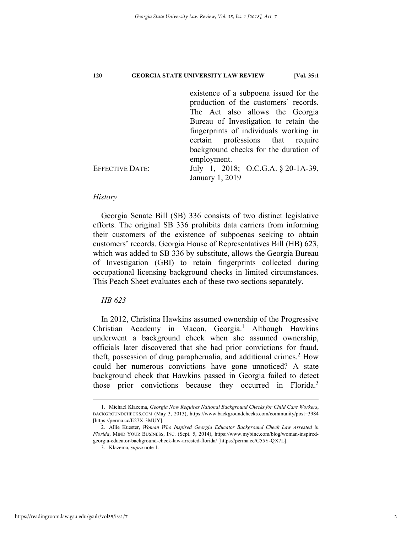|                        | existence of a subpoena issued for the |
|------------------------|----------------------------------------|
|                        | production of the customers' records.  |
|                        | The Act also allows the Georgia        |
|                        | Bureau of Investigation to retain the  |
|                        | fingerprints of individuals working in |
|                        | certain professions that require       |
|                        | background checks for the duration of  |
|                        | employment.                            |
| <b>EFFECTIVE DATE:</b> | July 1, 2018; O.C.G.A. § 20-1A-39,     |
|                        | January 1, 2019                        |
|                        |                                        |

#### *History*

Georgia Senate Bill (SB) 336 consists of two distinct legislative efforts. The original SB 336 prohibits data carriers from informing their customers of the existence of subpoenas seeking to obtain customers' records. Georgia House of Representatives Bill (HB) 623, which was added to SB 336 by substitute, allows the Georgia Bureau of Investigation (GBI) to retain fingerprints collected during occupational licensing background checks in limited circumstances. This Peach Sheet evaluates each of these two sections separately.

### *HB 623*

In 2012, Christina Hawkins assumed ownership of the Progressive Christian Academy in Macon, Georgia.<sup>1</sup> Although Hawkins underwent a background check when she assumed ownership, officials later discovered that she had prior convictions for fraud, theft, possession of drug paraphernalia, and additional crimes.<sup>2</sup> How could her numerous convictions have gone unnoticed? A state background check that Hawkins passed in Georgia failed to detect those prior convictions because they occurred in Florida.<sup>3</sup>

 <sup>1.</sup> Michael Klazema, *Georgia Now Requires National Background Checks for Child Care Workers*, BACKGROUNDCHECKS.COM (May 3, 2013), https://www.backgroundchecks.com/community/post=3984 [https://perma.cc/E27X-3MUY].

 <sup>2.</sup> Allie Kuester, *Woman Who Inspired Georgia Educator Background Check Law Arrested in Florida*, MIND YOUR BUSINESS, INC. (Sept. 5, 2014), https://www.mybinc.com/blog/woman-inspiredgeorgia-educator-background-check-law-arrested-florida/ [https://perma.cc/C55Y-QX7L].

 <sup>3.</sup> Klazema, *supra* note 1.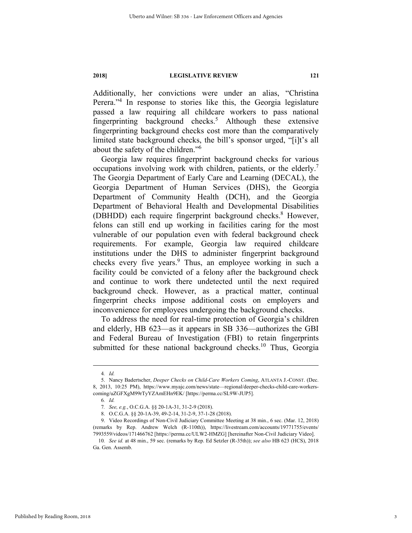Additionally, her convictions were under an alias, "Christina Perera."<sup>4</sup> In response to stories like this, the Georgia legislature passed a law requiring all childcare workers to pass national fingerprinting background checks.5 Although these extensive fingerprinting background checks cost more than the comparatively limited state background checks, the bill's sponsor urged, "[i]t's all about the safety of the children."6

Georgia law requires fingerprint background checks for various occupations involving work with children, patients, or the elderly.<sup>7</sup> The Georgia Department of Early Care and Learning (DECAL), the Georgia Department of Human Services (DHS), the Georgia Department of Community Health (DCH), and the Georgia Department of Behavioral Health and Developmental Disabilities (DBHDD) each require fingerprint background checks.<sup>8</sup> However, felons can still end up working in facilities caring for the most vulnerable of our population even with federal background check requirements. For example, Georgia law required childcare institutions under the DHS to administer fingerprint background checks every five years.<sup>9</sup> Thus, an employee working in such a facility could be convicted of a felony after the background check and continue to work there undetected until the next required background check. However, as a practical matter, continual fingerprint checks impose additional costs on employers and inconvenience for employees undergoing the background checks.

To address the need for real-time protection of Georgia's children and elderly, HB 623—as it appears in SB 336—authorizes the GBI and Federal Bureau of Investigation (FBI) to retain fingerprints submitted for these national background checks.<sup>10</sup> Thus, Georgia

 <sup>4</sup>*. Id.* 

 <sup>5.</sup> Nancy Badertscher, *Deeper Checks on Child-Care Workers Coming*, ATLANTA J.-CONST. (Dec. 8, 2013, 10:25 PM), https://www.myajc.com/news/state—regional/deeper-checks-child-care-workerscoming/uZGFXgM99rTyYZAmEHn9EK/ [https://perma.cc/SL9W-JUP5].

<sup>6</sup>*. Id.* 

<sup>7</sup>*. See, e.g.*, O.C.G.A. §§ 20-1A-31, 31-2-9 (2018).

 <sup>8.</sup> O.C.G.A. §§ 20-1A-39, 49-2-14, 31-2-9, 37-1-28 (2018).

 <sup>9.</sup> Video Recordings of Non-Civil Judiciary Committee Meeting at 38 min., 6 sec. (Mar. 12, 2018) (remarks by Rep. Andrew Welch (R-110th)), https://livestream.com/accounts/19771755/events/ 7993559/videos/171466762 [https://perma.cc/ULW2-HMZG] [hereinafter Non-Civil Judiciary Video].

<sup>10</sup>*. See id.* at 48 min., 59 sec. (remarks by Rep. Ed Setzler (R-35th)); *see also* HB 623 (HCS), 2018 Ga. Gen. Assemb.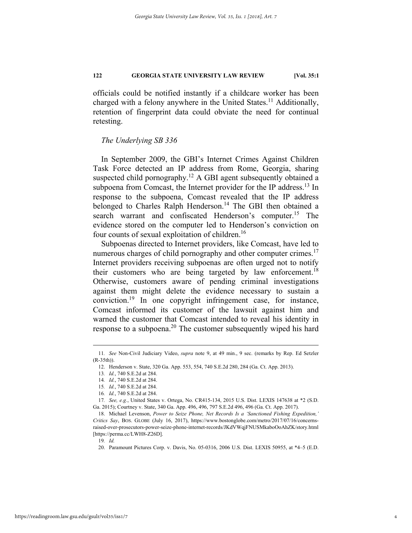officials could be notified instantly if a childcare worker has been charged with a felony anywhere in the United States.<sup>11</sup> Additionally, retention of fingerprint data could obviate the need for continual retesting.

#### *The Underlying SB 336*

In September 2009, the GBI's Internet Crimes Against Children Task Force detected an IP address from Rome, Georgia, sharing suspected child pornography.<sup>12</sup> A GBI agent subsequently obtained a subpoena from Comcast, the Internet provider for the IP address.<sup>13</sup> In response to the subpoena, Comcast revealed that the IP address belonged to Charles Ralph Henderson.<sup>14</sup> The GBI then obtained a search warrant and confiscated Henderson's computer.<sup>15</sup> The evidence stored on the computer led to Henderson's conviction on four counts of sexual exploitation of children.16

Subpoenas directed to Internet providers, like Comcast, have led to numerous charges of child pornography and other computer crimes.<sup>17</sup> Internet providers receiving subpoenas are often urged not to notify their customers who are being targeted by law enforcement.<sup>18</sup> Otherwise, customers aware of pending criminal investigations against them might delete the evidence necessary to sustain a conviction.19 In one copyright infringement case, for instance, Comcast informed its customer of the lawsuit against him and warned the customer that Comcast intended to reveal his identity in response to a subpoena.<sup>20</sup> The customer subsequently wiped his hard

 <sup>11</sup>*. See* Non-Civil Judiciary Video, *supra* note 9, at 49 min., 9 sec. (remarks by Rep. Ed Setzler (R-35th)).

 <sup>12.</sup> Henderson v. State, 320 Ga. App. 553, 554, 740 S.E.2d 280, 284 (Ga. Ct. App. 2013).

<sup>13</sup>*. Id.*, 740 S.E.2d at 284.

<sup>14</sup>*. Id.*, 740 S.E.2d at 284.

<sup>15</sup>*. Id.*, 740 S.E.2d at 284.

<sup>16</sup>*. Id.*, 740 S.E.2d at 284.

<sup>17</sup>*. See, e.g.*, United States v. Ortega, No. CR415-134, 2015 U.S. Dist. LEXIS 147638 at \*2 (S.D. Ga. 2015); Courtney v. State, 340 Ga. App. 496, 496, 797 S.E.2d 496, 496 (Ga. Ct. App. 2017).

 <sup>18.</sup> Michael Levenson, *Power to Seize Phone, Net Records Is a 'Sanctioned Fishing Expedition,' Critics Say*, BOS. GLOBE (July 16, 2017), https://www.bostonglobe.com/metro/2017/07/16/concernsraised-over-prosecutors-power-seize-phone-internet-records/JKdVWqjFNUSMkaboOoAhZK/story.html [https://perma.cc/LWH8-Z26D].

<sup>19</sup>*. Id.* 

 <sup>20.</sup> Paramount Pictures Corp. v. Davis, No. 05-0316, 2006 U.S. Dist. LEXIS 50955, at \*4–5 (E.D.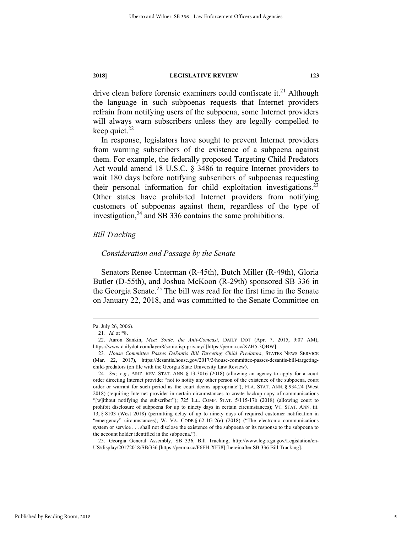drive clean before forensic examiners could confiscate it.<sup>21</sup> Although the language in such subpoenas requests that Internet providers refrain from notifying users of the subpoena, some Internet providers will always warn subscribers unless they are legally compelled to keep quiet. $22$ 

In response, legislators have sought to prevent Internet providers from warning subscribers of the existence of a subpoena against them. For example, the federally proposed Targeting Child Predators Act would amend 18 U.S.C. § 3486 to require Internet providers to wait 180 days before notifying subscribers of subpoenas requesting their personal information for child exploitation investigations.<sup>23</sup> Other states have prohibited Internet providers from notifying customers of subpoenas against them, regardless of the type of investigation,  $24$  and SB 336 contains the same prohibitions.

#### *Bill Tracking*

#### *Consideration and Passage by the Senate*

Senators Renee Unterman (R-45th), Butch Miller (R-49th), Gloria Butler (D-55th), and Joshua McKoon (R-29th) sponsored SB 336 in the Georgia Senate.<sup>25</sup> The bill was read for the first time in the Senate on January 22, 2018, and was committed to the Senate Committee on

Pa. July 26, 2006).

<sup>21</sup>*. Id.* at \*8.

 <sup>22.</sup> Aaron Sankin, *Meet Sonic, the Anti-Comcast*, DAILY DOT (Apr. 7, 2015, 9:07 AM), https://www.dailydot.com/layer8/sonic-isp-privacy/ [https://perma.cc/XZH5-3QBW].

<sup>23</sup>*. House Committee Passes DeSantis Bill Targeting Child Predators*, STATES NEWS SERVICE (Mar. 22, 2017), https://desantis.house.gov/2017/3/house-committee-passes-desantis-bill-targetingchild-predators (on file with the Georgia State University Law Review).

<sup>24</sup>*. See, e.g.*, ARIZ. REV. STAT. ANN. § 13-3016 (2018) (allowing an agency to apply for a court order directing Internet provider "not to notify any other person of the existence of the subpoena, court order or warrant for such period as the court deems appropriate"); FLA. STAT. ANN. § 934.24 (West 2018) (requiring Internet provider in certain circumstances to create backup copy of communications "[w]ithout notifying the subscriber"); 725 ILL. COMP. STAT. 5/115-17b (2018) (allowing court to prohibit disclosure of subpoena for up to ninety days in certain circumstances); VT. STAT. ANN. tit. 13, § 8103 (West 2018) (permitting delay of up to ninety days of required customer notification in "emergency" circumstances); W. VA. CODE § 62-1G-2(e) (2018) ("The electronic communications system or service . . . shall not disclose the existence of the subpoena or its response to the subpoena to the account holder identified in the subpoena.").

 <sup>25.</sup> Georgia General Assembly, SB 336, Bill Tracking, http://www.legis.ga.gov/Legislation/en-US/display/20172018/SB/336 [https://perma.cc/F6FH-XF78] [hereinafter SB 336 Bill Tracking].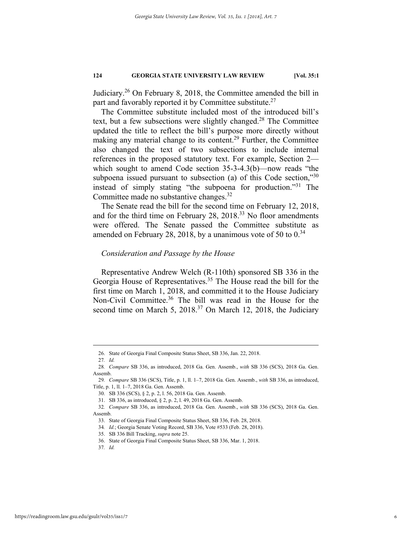Judiciary.26 On February 8, 2018, the Committee amended the bill in part and favorably reported it by Committee substitute.<sup>27</sup>

The Committee substitute included most of the introduced bill's text, but a few subsections were slightly changed.<sup>28</sup> The Committee updated the title to reflect the bill's purpose more directly without making any material change to its content.29 Further, the Committee also changed the text of two subsections to include internal references in the proposed statutory text. For example, Section 2 which sought to amend Code section 35-3-4.3(b)—now reads "the subpoena issued pursuant to subsection (a) of this Code section,"30 instead of simply stating "the subpoena for production."31 The Committee made no substantive changes.<sup>32</sup>

The Senate read the bill for the second time on February 12, 2018, and for the third time on February 28, 2018.33 No floor amendments were offered. The Senate passed the Committee substitute as amended on February 28, 2018, by a unanimous vote of 50 to  $0.34$ 

#### *Consideration and Passage by the House*

Representative Andrew Welch (R-110th) sponsored SB 336 in the Georgia House of Representatives.35 The House read the bill for the first time on March 1, 2018, and committed it to the House Judiciary Non-Civil Committee.<sup>36</sup> The bill was read in the House for the second time on March 5,  $2018<sup>37</sup>$  On March 12, 2018, the Judiciary

 <sup>26.</sup> State of Georgia Final Composite Status Sheet, SB 336, Jan. 22, 2018.

<sup>28</sup>*. Compare* SB 336, as introduced, 2018 Ga. Gen. Assemb., *with* SB 336 (SCS), 2018 Ga. Gen. Assemb.

<sup>29</sup>*. Compare* SB 336 (SCS), Title, p. 1, ll. 1–7, 2018 Ga. Gen. Assemb., *with* SB 336, as introduced, Title, p. 1, ll. 1–7, 2018 Ga. Gen. Assemb.

 <sup>30.</sup> SB 336 (SCS), § 2, p. 2, l. 56, 2018 Ga. Gen. Assemb.

 <sup>31.</sup> SB 336, as introduced, § 2, p. 2, l. 49, 2018 Ga. Gen. Assemb.

<sup>32</sup>*. Compare* SB 336, as introduced, 2018 Ga. Gen. Assemb., *with* SB 336 (SCS), 2018 Ga. Gen. Assemb.

 <sup>33.</sup> State of Georgia Final Composite Status Sheet, SB 336, Feb. 28, 2018.

<sup>34</sup>*. Id.*; Georgia Senate Voting Record, SB 336, Vote #533 (Feb. 28, 2018).

 <sup>35.</sup> SB 336 Bill Tracking, *supra* note 25.

 <sup>36.</sup> State of Georgia Final Composite Status Sheet, SB 336, Mar. 1, 2018.

<sup>37</sup>*. Id.*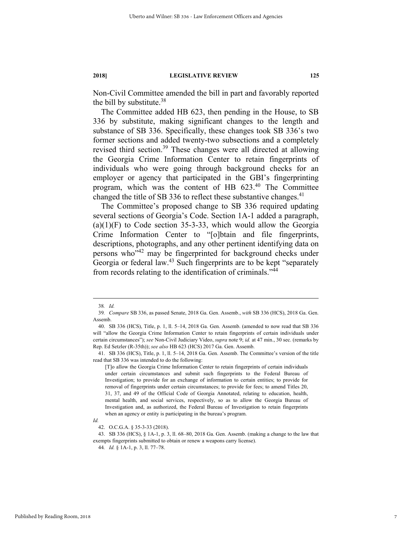Non-Civil Committee amended the bill in part and favorably reported the bill by substitute. $38$ 

The Committee added HB 623, then pending in the House, to SB 336 by substitute, making significant changes to the length and substance of SB 336. Specifically, these changes took SB 336's two former sections and added twenty-two subsections and a completely revised third section.<sup>39</sup> These changes were all directed at allowing the Georgia Crime Information Center to retain fingerprints of individuals who were going through background checks for an employer or agency that participated in the GBI's fingerprinting program, which was the content of HB 623.40 The Committee changed the title of SB 336 to reflect these substantive changes.<sup>41</sup>

The Committee's proposed change to SB 336 required updating several sections of Georgia's Code. Section 1A-1 added a paragraph,  $(a)(1)(F)$  to Code section 35-3-33, which would allow the Georgia Crime Information Center to "[o]btain and file fingerprints, descriptions, photographs, and any other pertinent identifying data on persons who"42 may be fingerprinted for background checks under Georgia or federal law.43 Such fingerprints are to be kept "separately from records relating to the identification of criminals."44

 <sup>38</sup>*. Id.*

<sup>39</sup>*. Compare* SB 336, as passed Senate, 2018 Ga. Gen. Assemb., *with* SB 336 (HCS), 2018 Ga. Gen. Assemb.

 <sup>40.</sup> SB 336 (HCS), Title, p. 1, ll. 5–14, 2018 Ga. Gen. Assemb. (amended to now read that SB 336 will "allow the Georgia Crime Information Center to retain fingerprints of certain individuals under certain circumstances"); *see* Non-Civil Judiciary Video, *supra* note 9; *id.* at 47 min., 30 sec. (remarks by Rep. Ed Setzler (R-35th)); *see also* HB 623 (HCS) 2017 Ga. Gen. Assemb.

 <sup>41.</sup> SB 336 (HCS), Title, p. 1, ll. 5–14, 2018 Ga. Gen. Assemb. The Committee's version of the title read that SB 336 was intended to do the following:

<sup>[</sup>T]o allow the Georgia Crime Information Center to retain fingerprints of certain individuals under certain circumstances and submit such fingerprints to the Federal Bureau of Investigation; to provide for an exchange of information to certain entities; to provide for removal of fingerprints under certain circumstances; to provide for fees; to amend Titles 20, 31, 37, and 49 of the Official Code of Georgia Annotated, relating to education, health, mental health, and social services, respectively, so as to allow the Georgia Bureau of Investigation and, as authorized, the Federal Bureau of Investigation to retain fingerprints when an agency or entity is participating in the bureau's program.

*Id.*

 <sup>42.</sup> O.C.G.A. § 35-3-33 (2018).

 <sup>43.</sup> SB 336 (HCS), § 1A-1, p. 3, ll. 68–80, 2018 Ga. Gen. Assemb. (making a change to the law that exempts fingerprints submitted to obtain or renew a weapons carry license).

<sup>44</sup>*. Id.* § 1A-1, p. 3, ll. 77–78.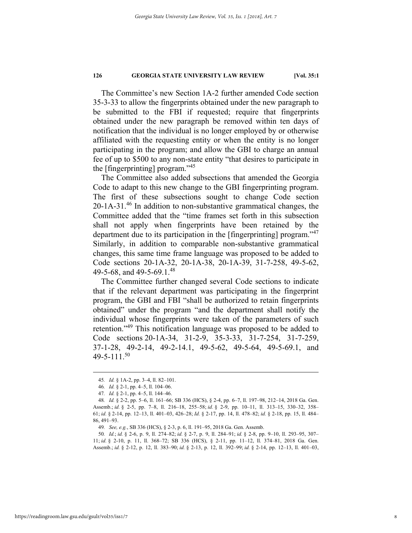The Committee's new Section 1A-2 further amended Code section 35-3-33 to allow the fingerprints obtained under the new paragraph to be submitted to the FBI if requested; require that fingerprints obtained under the new paragraph be removed within ten days of notification that the individual is no longer employed by or otherwise affiliated with the requesting entity or when the entity is no longer participating in the program; and allow the GBI to charge an annual fee of up to \$500 to any non-state entity "that desires to participate in the [fingerprinting] program."<sup>45</sup>

The Committee also added subsections that amended the Georgia Code to adapt to this new change to the GBI fingerprinting program. The first of these subsections sought to change Code section 20-1A-31.46 In addition to non-substantive grammatical changes, the Committee added that the "time frames set forth in this subsection shall not apply when fingerprints have been retained by the department due to its participation in the [fingerprinting] program."<sup>47</sup> Similarly, in addition to comparable non-substantive grammatical changes, this same time frame language was proposed to be added to Code sections 20-1A-32, 20-1A-38, 20-1A-39, 31-7-258, 49-5-62, 49-5-68, and 49-5-69.1.48

The Committee further changed several Code sections to indicate that if the relevant department was participating in the fingerprint program, the GBI and FBI "shall be authorized to retain fingerprints obtained" under the program "and the department shall notify the individual whose fingerprints were taken of the parameters of such retention."49 This notification language was proposed to be added to Code sections 20-1A-34, 31-2-9, 35-3-33, 31-7-254, 31-7-259, 37-1-28, 49-2-14, 49-2-14.1, 49-5-62, 49-5-64, 49-5-69.1, and 49-5-111.50

 <sup>45</sup>*. Id.* § 1A-2, pp. 3–4, ll. 82–101.

<sup>46</sup>*. Id.* § 2-1, pp. 4–5, ll. 104–06.

<sup>47</sup>*. Id.* § 2-1, pp. 4–5, ll. 144–46.

<sup>48</sup>*. Id.* § 2-2, pp. 5–6, ll. 161–66; SB 336 (HCS), § 2-4, pp. 6–7, ll. 197–98, 212–14, 2018 Ga. Gen. Assemb.; *id.* § 2-5, pp. 7–8, ll. 216–18, 255–58; *id.* § 2-9, pp. 10–11, ll. 313–15, 330–32, 358– 61; *id.* § 2-14, pp. 12–13, ll. 401–03, 426–28; *Id.* § 2-17, pp. 14, ll. 478–82; *id.* § 2-18, pp. 15, ll. 484– 86, 491–93.

<sup>49</sup>*. See, e.g.*, SB 336 (HCS), § 2-3, p. 6, ll. 191–95, 2018 Ga. Gen. Assemb.

<sup>50</sup>*. Id.*; *id.* § 2-6, p. 9, ll. 274–82; *id.* § 2-7, p. 9, ll. 284–91; *id.* § 2-8, pp. 9–10, ll. 293–95, 307– 11; *id.* § 2-10, p. 11, ll. 368–72; SB 336 (HCS), § 2-11, pp. 11–12, ll. 374–81, 2018 Ga. Gen. Assemb.; *id.* § 2-12, p. 12, ll. 383–90; *id.* § 2-13, p. 12, ll. 392–99; *id.* § 2-14, pp. 12–13, ll. 401–03,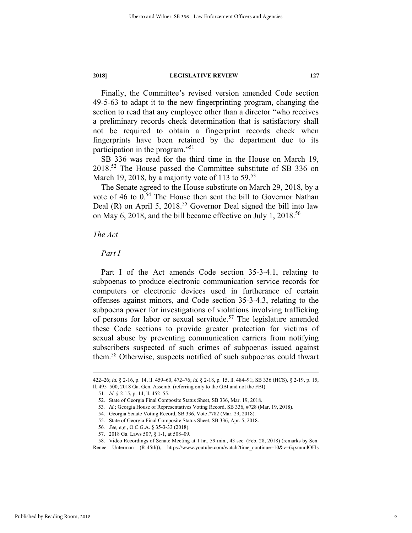Finally, the Committee's revised version amended Code section 49-5-63 to adapt it to the new fingerprinting program, changing the section to read that any employee other than a director "who receives a preliminary records check determination that is satisfactory shall not be required to obtain a fingerprint records check when fingerprints have been retained by the department due to its participation in the program."<sup>51</sup>

SB 336 was read for the third time in the House on March 19, 2018.52 The House passed the Committee substitute of SB 336 on March 19, 2018, by a majority vote of 113 to  $59^{53}$ 

The Senate agreed to the House substitute on March 29, 2018, by a vote of 46 to  $0.54$  The House then sent the bill to Governor Nathan Deal (R) on April 5, 2018.<sup>55</sup> Governor Deal signed the bill into law on May 6, 2018, and the bill became effective on July 1, 2018.<sup>56</sup>

#### *The Act*

*Part I* 

Part I of the Act amends Code section 35-3-4.1, relating to subpoenas to produce electronic communication service records for computers or electronic devices used in furtherance of certain offenses against minors, and Code section 35-3-4.3, relating to the subpoena power for investigations of violations involving trafficking of persons for labor or sexual servitude.<sup>57</sup> The legislature amended these Code sections to provide greater protection for victims of sexual abuse by preventing communication carriers from notifying subscribers suspected of such crimes of subpoenas issued against them.58 Otherwise, suspects notified of such subpoenas could thwart

 <sup>422–26;</sup> *id.* § 2-16, p. 14, ll. 459–60, 472–76; *id.* § 2-18, p. 15, ll. 484–91; SB 336 (HCS), § 2-19, p. 15, ll. 495–500, 2018 Ga. Gen. Assemb. (referring only to the GBI and not the FBI).

<sup>51</sup>*. Id.* § 2-15, p. 14, ll. 452–55.

 <sup>52.</sup> State of Georgia Final Composite Status Sheet, SB 336, Mar. 19, 2018.

<sup>53</sup>*. Id.*; Georgia House of Representatives Voting Record, SB 336, #728 (Mar. 19, 2018).

 <sup>54.</sup> Georgia Senate Voting Record, SB 336, Vote #782 (Mar. 29, 2018).

 <sup>55.</sup> State of Georgia Final Composite Status Sheet, SB 336, Apr. 5, 2018.

<sup>56</sup>*. See, e.g.*, O.C.G.A. § 35-3-33 (2018).

 <sup>57. 2018</sup> Ga. Laws 507, § 1-1, at 508–09.

 <sup>58.</sup> Video Recordings of Senate Meeting at 1 hr., 59 min., 43 sec. (Feb. 28, 2018) (remarks by Sen.

Renee Unterman (R-45th)), https://www.youtube.com/watch?time\_continue=10&v=6qxmnnlOFls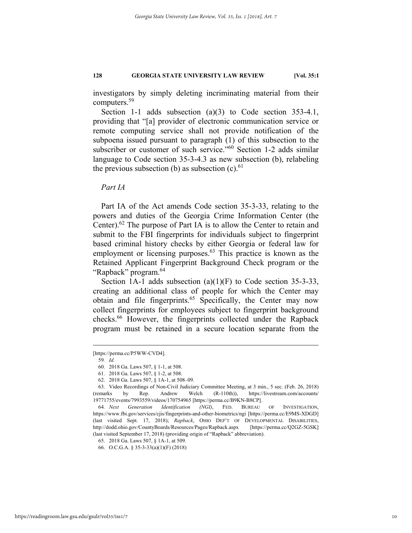investigators by simply deleting incriminating material from their computers.59

Section 1-1 adds subsection (a)(3) to Code section 353-4.1, providing that "[a] provider of electronic communication service or remote computing service shall not provide notification of the subpoena issued pursuant to paragraph (1) of this subsection to the subscriber or customer of such service."<sup>60</sup> Section 1-2 adds similar language to Code section 35-3-4.3 as new subsection (b), relabeling the previous subsection (b) as subsection  $(c)$ .<sup>61</sup>

*Part IA* 

Part IA of the Act amends Code section 35-3-33, relating to the powers and duties of the Georgia Crime Information Center (the Center).<sup>62</sup> The purpose of Part IA is to allow the Center to retain and submit to the FBI fingerprints for individuals subject to fingerprint based criminal history checks by either Georgia or federal law for employment or licensing purposes. $63$  This practice is known as the Retained Applicant Fingerprint Background Check program or the "Rapback" program.<sup>64</sup>

Section 1A-1 adds subsection  $(a)(1)(F)$  to Code section 35-3-33, creating an additional class of people for which the Center may obtain and file fingerprints.<sup>65</sup> Specifically, the Center may now collect fingerprints for employees subject to fingerprint background checks.66 However, the fingerprints collected under the Rapback program must be retained in a secure location separate from the

 <sup>[</sup>https://perma.cc/P5WW-CVD4].

<sup>59</sup>*. Id.*

 <sup>60. 2018</sup> Ga. Laws 507, § 1-1, at 508.

 <sup>61. 2018</sup> Ga. Laws 507, § 1-2, at 508.

 <sup>62. 2018</sup> Ga. Laws 507, § 1A-1, at 508–09.

 <sup>63.</sup> Video Recordings of Non-Civil Judiciary Committee Meeting, at 3 min., 5 sec. (Feb. 26, 2018) (remarks by Rep. Andrew Welch (R-110th)), https://livestream.com/accounts/ 19771755/events/7993559/videos/170754965 [https://perma.cc/B9KN-B8CP].

<sup>64</sup>*. Next Generation Identification (NGI)*, FED. BUREAU OF INVESTIGATION, https://www.fbi.gov/services/cjis/fingerprints-and-other-biometrics/ngi [https://perma.cc/E9MS-XDGD] (last visited Sept. 17, 2018); *Rapback*, OHIO DEP'T OF DEVELOPMENTAL DISABILITIES, http://dodd.ohio.gov/CountyBoards/Resources/Pages/Rapback.aspx [https://perma.cc/Q2GZ-5GSK] (last visited September 17, 2018) (providing origin of "Rapback" abbreviation).

 <sup>65. 2018</sup> Ga. Laws 507, § 1A-1, at 509.

 <sup>66.</sup> O.C.G.A. § 35-3-33(a)(1)(F) (2018)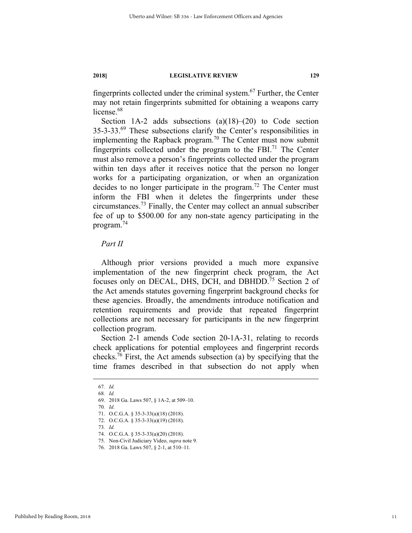fingerprints collected under the criminal system. $67$  Further, the Center may not retain fingerprints submitted for obtaining a weapons carry license.<sup>68</sup>

Section 1A-2 adds subsections  $(a)(18)$ – $(20)$  to Code section 35-3-33.69 These subsections clarify the Center's responsibilities in implementing the Rapback program.<sup>70</sup> The Center must now submit fingerprints collected under the program to the FBI.<sup>71</sup> The Center must also remove a person's fingerprints collected under the program within ten days after it receives notice that the person no longer works for a participating organization, or when an organization decides to no longer participate in the program.<sup>72</sup> The Center must inform the FBI when it deletes the fingerprints under these circumstances.73 Finally, the Center may collect an annual subscriber fee of up to \$500.00 for any non-state agency participating in the program.<sup>74</sup>

#### *Part II*

Although prior versions provided a much more expansive implementation of the new fingerprint check program, the Act focuses only on DECAL, DHS, DCH, and DBHDD.<sup>75</sup> Section 2 of the Act amends statutes governing fingerprint background checks for these agencies. Broadly, the amendments introduce notification and retention requirements and provide that repeated fingerprint collections are not necessary for participants in the new fingerprint collection program.

Section 2-1 amends Code section 20-1A-31, relating to records check applications for potential employees and fingerprint records checks.<sup>76</sup> First, the Act amends subsection (a) by specifying that the time frames described in that subsection do not apply when

 <sup>67</sup>*. Id.* 

<sup>68</sup>*. Id.* 

 <sup>69. 2018</sup> Ga. Laws 507, § 1A-2, at 509–10.

<sup>70</sup>*. Id.* 

 <sup>71.</sup> O.C.G.A. § 35-3-33(a)(18) (2018).

 <sup>72.</sup> O.C.G.A. § 35-3-33(a)(19) (2018).

<sup>73</sup>*. Id.* 

 <sup>74.</sup> O.C.G.A. § 35-3-33(a)(20) (2018).

 <sup>75.</sup> Non-Civil Judiciary Video, *supra* note 9.

 <sup>76. 2018</sup> Ga. Laws 507, § 2-1, at 510–11.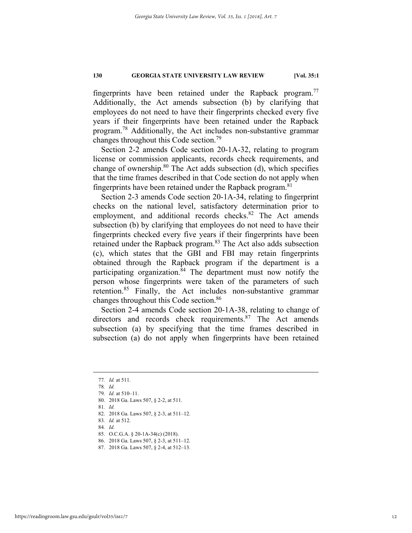fingerprints have been retained under the Rapback program.<sup>77</sup> Additionally, the Act amends subsection (b) by clarifying that employees do not need to have their fingerprints checked every five years if their fingerprints have been retained under the Rapback program.78 Additionally, the Act includes non-substantive grammar changes throughout this Code section.79

Section 2-2 amends Code section 20-1A-32, relating to program license or commission applicants, records check requirements, and change of ownership.<sup>80</sup> The Act adds subsection (d), which specifies that the time frames described in that Code section do not apply when fingerprints have been retained under the Rapback program.  $81$ 

Section 2-3 amends Code section 20-1A-34, relating to fingerprint checks on the national level, satisfactory determination prior to employment, and additional records checks.<sup>82</sup> The Act amends subsection (b) by clarifying that employees do not need to have their fingerprints checked every five years if their fingerprints have been retained under the Rapback program.<sup>83</sup> The Act also adds subsection (c), which states that the GBI and FBI may retain fingerprints obtained through the Rapback program if the department is a participating organization. ${}^{84}$  The department must now notify the person whose fingerprints were taken of the parameters of such retention.85 Finally, the Act includes non-substantive grammar changes throughout this Code section.86

Section 2-4 amends Code section 20-1A-38, relating to change of directors and records check requirements.<sup>87</sup> The Act amends subsection (a) by specifying that the time frames described in subsection (a) do not apply when fingerprints have been retained

 <sup>77</sup>*. Id.* at 511.

<sup>78</sup>*. Id.* 

<sup>79</sup>*. Id.* at 510–11.

 <sup>80. 2018</sup> Ga. Laws 507, § 2-2, at 511.

<sup>81</sup>*. Id.* 

 <sup>82. 2018</sup> Ga. Laws 507, § 2-3, at 511–12.

<sup>83</sup>*. Id.* at 512.

 <sup>85.</sup> O.C.G.A. § 20-1A-34(c) (2018).

 <sup>86. 2018</sup> Ga. Laws 507, § 2-3, at 511–12.

 <sup>87. 2018</sup> Ga. Laws 507, § 2-4, at 512–13.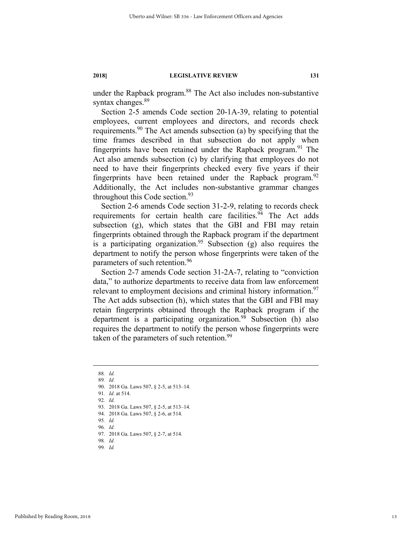under the Rapback program.<sup>88</sup> The Act also includes non-substantive syntax changes.<sup>89</sup>

Section 2-5 amends Code section 20-1A-39, relating to potential employees, current employees and directors, and records check requirements.<sup>90</sup> The Act amends subsection (a) by specifying that the time frames described in that subsection do not apply when fingerprints have been retained under the Rapback program.<sup>91</sup> The Act also amends subsection (c) by clarifying that employees do not need to have their fingerprints checked every five years if their fingerprints have been retained under the Rapback program.<sup>92</sup> Additionally, the Act includes non-substantive grammar changes throughout this Code section.<sup>93</sup>

Section 2-6 amends Code section 31-2-9, relating to records check requirements for certain health care facilities.<sup>94</sup> The Act adds subsection (g), which states that the GBI and FBI may retain fingerprints obtained through the Rapback program if the department is a participating organization.<sup>95</sup> Subsection (g) also requires the department to notify the person whose fingerprints were taken of the parameters of such retention.<sup>96</sup>

Section 2-7 amends Code section 31-2A-7, relating to "conviction data," to authorize departments to receive data from law enforcement relevant to employment decisions and criminal history information.<sup>97</sup> The Act adds subsection (h), which states that the GBI and FBI may retain fingerprints obtained through the Rapback program if the department is a participating organization. $98$  Subsection (h) also requires the department to notify the person whose fingerprints were taken of the parameters of such retention.<sup>99</sup>

- 95*. Id.*
- 96*. Id.*

97. 2018 Ga. Laws 507, § 2-7, at 514.

98*. Id.* 99*. Id.* 

 <sup>88</sup>*. Id.* 

<sup>89</sup>*. Id.* 90. 2018 Ga. Laws 507, § 2-5, at 513–14. 91*. Id.* at 514. 92*. Id.*  93. 2018 Ga. Laws 507, § 2-5, at 513–14.

 <sup>94. 2018</sup> Ga. Laws 507, § 2-6, at 514.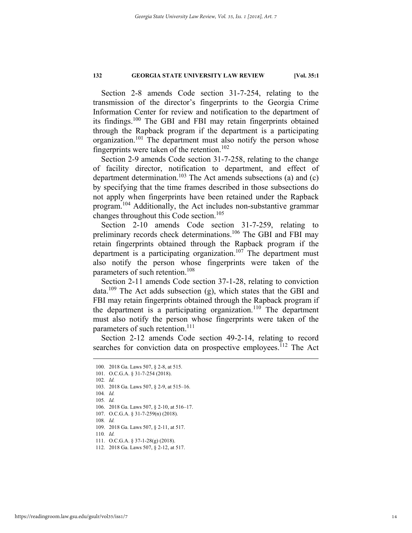Section 2-8 amends Code section 31-7-254, relating to the transmission of the director's fingerprints to the Georgia Crime Information Center for review and notification to the department of its findings.100 The GBI and FBI may retain fingerprints obtained through the Rapback program if the department is a participating organization.<sup>101</sup> The department must also notify the person whose fingerprints were taken of the retention.<sup>102</sup>

Section 2-9 amends Code section 31-7-258, relating to the change of facility director, notification to department, and effect of department determination.<sup>103</sup> The Act amends subsections (a) and (c) by specifying that the time frames described in those subsections do not apply when fingerprints have been retained under the Rapback program.104 Additionally, the Act includes non-substantive grammar changes throughout this Code section.<sup>105</sup>

Section 2-10 amends Code section 31-7-259, relating to preliminary records check determinations.<sup>106</sup> The GBI and FBI may retain fingerprints obtained through the Rapback program if the department is a participating organization.<sup>107</sup> The department must also notify the person whose fingerprints were taken of the parameters of such retention.<sup>108</sup>

Section 2-11 amends Code section 37-1-28, relating to conviction data.<sup>109</sup> The Act adds subsection (g), which states that the GBI and FBI may retain fingerprints obtained through the Rapback program if the department is a participating organization.<sup>110</sup> The department must also notify the person whose fingerprints were taken of the parameters of such retention.<sup>111</sup>

Section 2-12 amends Code section 49-2-14, relating to record searches for conviction data on prospective employees.<sup>112</sup> The Act

102*. Id.* 

104*. Id.*

105*. Id.* 

106. 2018 Ga. Laws 507, § 2-10, at 516–17.

107. O.C.G.A. § 31-7-259(n) (2018).

108*. Id.* 

109. 2018 Ga. Laws 507, § 2-11, at 517.

- 111. O.C.G.A. § 37-1-28(g) (2018).
- 112. 2018 Ga. Laws 507, § 2-12, at 517.

 <sup>100. 2018</sup> Ga. Laws 507, § 2-8, at 515.

 <sup>101.</sup> O.C.G.A. § 31-7-254 (2018).

 <sup>103. 2018</sup> Ga. Laws 507, § 2-9, at 515–16.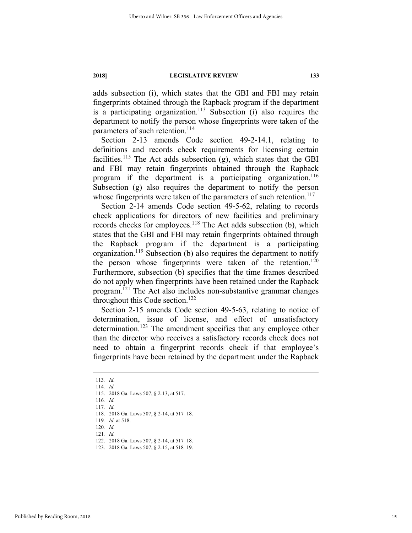adds subsection (i), which states that the GBI and FBI may retain fingerprints obtained through the Rapback program if the department is a participating organization.<sup>113</sup> Subsection (i) also requires the department to notify the person whose fingerprints were taken of the parameters of such retention.<sup>114</sup>

Section 2-13 amends Code section 49-2-14.1, relating to definitions and records check requirements for licensing certain facilities.<sup>115</sup> The Act adds subsection  $(g)$ , which states that the GBI and FBI may retain fingerprints obtained through the Rapback program if the department is a participating organization.<sup>116</sup> Subsection (g) also requires the department to notify the person whose fingerprints were taken of the parameters of such retention.<sup>117</sup>

Section 2-14 amends Code section 49-5-62, relating to records check applications for directors of new facilities and preliminary records checks for employees.<sup>118</sup> The Act adds subsection (b), which states that the GBI and FBI may retain fingerprints obtained through the Rapback program if the department is a participating organization.<sup>119</sup> Subsection (b) also requires the department to notify the person whose fingerprints were taken of the retention.<sup>120</sup> Furthermore, subsection (b) specifies that the time frames described do not apply when fingerprints have been retained under the Rapback program.121 The Act also includes non-substantive grammar changes throughout this Code section.<sup>122</sup>

Section 2-15 amends Code section 49-5-63, relating to notice of determination, issue of license, and effect of unsatisfactory determination.<sup>123</sup> The amendment specifies that any employee other than the director who receives a satisfactory records check does not need to obtain a fingerprint records check if that employee's fingerprints have been retained by the department under the Rapback

119*. Id.* at 518. 120*. Id.* 

 <sup>113</sup>*. Id.*

<sup>114</sup>*. Id.* 

 <sup>115. 2018</sup> Ga. Laws 507, § 2-13, at 517.

<sup>116</sup>*. Id.*

<sup>117</sup>*. Id.* 

 <sup>118. 2018</sup> Ga. Laws 507, § 2-14, at 517–18.

 <sup>122. 2018</sup> Ga. Laws 507, § 2-14, at 517–18.

 <sup>123. 2018</sup> Ga. Laws 507, § 2-15, at 518–19.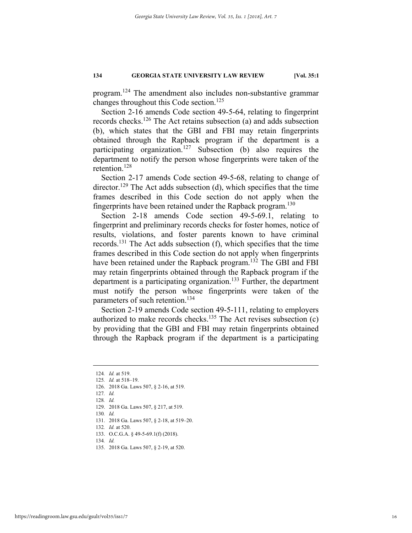program.124 The amendment also includes non-substantive grammar changes throughout this Code section.<sup>125</sup>

Section 2-16 amends Code section 49-5-64, relating to fingerprint records checks.126 The Act retains subsection (a) and adds subsection (b), which states that the GBI and FBI may retain fingerprints obtained through the Rapback program if the department is a participating organization.<sup>127</sup> Subsection (b) also requires the department to notify the person whose fingerprints were taken of the retention.128

Section 2-17 amends Code section 49-5-68, relating to change of director.<sup>129</sup> The Act adds subsection (d), which specifies that the time frames described in this Code section do not apply when the fingerprints have been retained under the Rapback program.<sup>130</sup>

Section 2-18 amends Code section 49-5-69.1, relating to fingerprint and preliminary records checks for foster homes, notice of results, violations, and foster parents known to have criminal records.131 The Act adds subsection (f), which specifies that the time frames described in this Code section do not apply when fingerprints have been retained under the Rapback program.<sup>132</sup> The GBI and FBI may retain fingerprints obtained through the Rapback program if the department is a participating organization.<sup>133</sup> Further, the department must notify the person whose fingerprints were taken of the parameters of such retention.<sup>134</sup>

Section 2-19 amends Code section 49-5-111, relating to employers authorized to make records checks.<sup>135</sup> The Act revises subsection  $(c)$ by providing that the GBI and FBI may retain fingerprints obtained through the Rapback program if the department is a participating

- 129. 2018 Ga. Laws 507, § 217, at 519.
- 130*. Id.*

 <sup>124</sup>*. Id.* at 519.

<sup>125</sup>*. Id.* at 518–19.

 <sup>126. 2018</sup> Ga. Laws 507, § 2-16, at 519.

<sup>127</sup>*. Id.* 128*. Id.*

 <sup>131. 2018</sup> Ga. Laws 507, § 2-18, at 519–20.

<sup>132</sup>*. Id.* at 520.

 <sup>133.</sup> O.C.G.A. § 49-5-69.1(f) (2018).

 <sup>135. 2018</sup> Ga. Laws 507, § 2-19, at 520.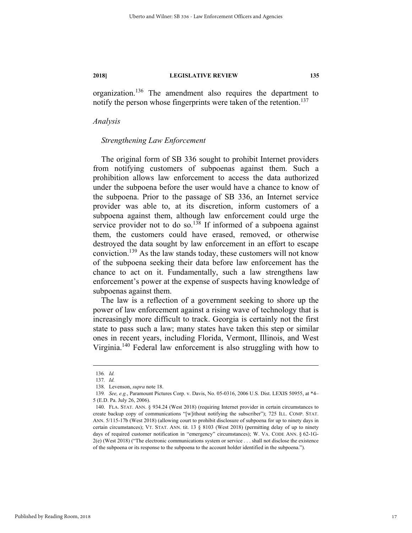organization.136 The amendment also requires the department to notify the person whose fingerprints were taken of the retention.<sup>137</sup>

#### *Analysis*

#### *Strengthening Law Enforcement*

The original form of SB 336 sought to prohibit Internet providers from notifying customers of subpoenas against them. Such a prohibition allows law enforcement to access the data authorized under the subpoena before the user would have a chance to know of the subpoena. Prior to the passage of SB 336, an Internet service provider was able to, at its discretion, inform customers of a subpoena against them, although law enforcement could urge the service provider not to do so.<sup>138</sup> If informed of a subpoena against them, the customers could have erased, removed, or otherwise destroyed the data sought by law enforcement in an effort to escape conviction.139 As the law stands today, these customers will not know of the subpoena seeking their data before law enforcement has the chance to act on it. Fundamentally, such a law strengthens law enforcement's power at the expense of suspects having knowledge of subpoenas against them.

The law is a reflection of a government seeking to shore up the power of law enforcement against a rising wave of technology that is increasingly more difficult to track. Georgia is certainly not the first state to pass such a law; many states have taken this step or similar ones in recent years, including Florida, Vermont, Illinois, and West Virginia.<sup>140</sup> Federal law enforcement is also struggling with how to

 <sup>136</sup>*. Id.*

<sup>137</sup>*. Id.* 

 <sup>138.</sup> Levenson, *supra* note 18.

<sup>139</sup>*. See, e.g.*, Paramount Pictures Corp. v. Davis, No. 05-0316, 2006 U.S. Dist. LEXIS 50955, at \*4– 5 (E.D. Pa. July 26, 2006).

 <sup>140.</sup> FLA. STAT. ANN. § 934.24 (West 2018) (requiring Internet provider in certain circumstances to create backup copy of communications "[w]ithout notifying the subscriber"); 725 ILL. COMP. STAT. ANN. 5/115-17b (West 2018) (allowing court to prohibit disclosure of subpoena for up to ninety days in certain circumstances); VT. STAT. ANN. tit. 13 § 8103 (West 2018) (permitting delay of up to ninety days of required customer notification in "emergency" circumstances); W. VA. CODE ANN. § 62-1G-2(e) (West 2018) ("The electronic communications system or service . . . shall not disclose the existence of the subpoena or its response to the subpoena to the account holder identified in the subpoena.").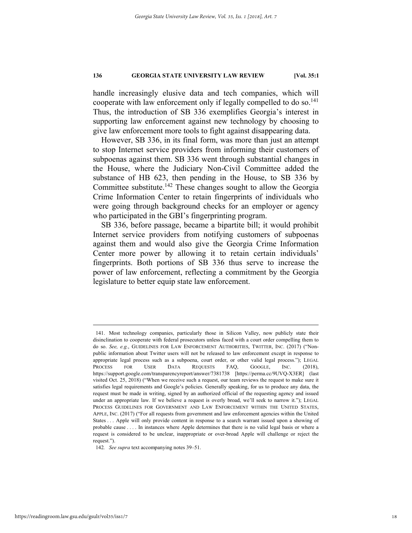handle increasingly elusive data and tech companies, which will cooperate with law enforcement only if legally compelled to do so.<sup>141</sup> Thus, the introduction of SB 336 exemplifies Georgia's interest in supporting law enforcement against new technology by choosing to give law enforcement more tools to fight against disappearing data.

However, SB 336, in its final form, was more than just an attempt to stop Internet service providers from informing their customers of subpoenas against them. SB 336 went through substantial changes in the House, where the Judiciary Non-Civil Committee added the substance of HB 623, then pending in the House, to SB 336 by Committee substitute.142 These changes sought to allow the Georgia Crime Information Center to retain fingerprints of individuals who were going through background checks for an employer or agency who participated in the GBI's fingerprinting program.

SB 336, before passage, became a bipartite bill; it would prohibit Internet service providers from notifying customers of subpoenas against them and would also give the Georgia Crime Information Center more power by allowing it to retain certain individuals' fingerprints. Both portions of SB 336 thus serve to increase the power of law enforcement, reflecting a commitment by the Georgia legislature to better equip state law enforcement.

 <sup>141.</sup> Most technology companies, particularly those in Silicon Valley, now publicly state their disinclination to cooperate with federal prosecutors unless faced with a court order compelling them to do so. *See, e.g.*, GUIDELINES FOR LAW ENFORCEMENT AUTHORITIES, TWITTER, INC. (2017) ("Nonpublic information about Twitter users will not be released to law enforcement except in response to appropriate legal process such as a subpoena, court order, or other valid legal process."); LEGAL PROCESS FOR USER DATA REQUESTS FAQ, GOOGLE, INC. (2018), https://support.google.com/transparencyreport/answer/7381738 [https://perma.cc/9UVQ-X3ER] (last visited Oct. 25, 2018) ("When we receive such a request, our team reviews the request to make sure it satisfies legal requirements and Google's policies. Generally speaking, for us to produce any data, the request must be made in writing, signed by an authorized official of the requesting agency and issued under an appropriate law. If we believe a request is overly broad, we'll seek to narrow it."); LEGAL PROCESS GUIDELINES FOR GOVERNMENT AND LAW ENFORCEMENT WITHIN THE UNITED STATES, APPLE, INC. (2017) ("For all requests from government and law enforcement agencies within the United States . . . Apple will only provide content in response to a search warrant issued upon a showing of probable cause . . . . In instances where Apple determines that there is no valid legal basis or where a request is considered to be unclear, inappropriate or over-broad Apple will challenge or reject the request.").

<sup>142</sup>*. See supra* text accompanying notes 39–51.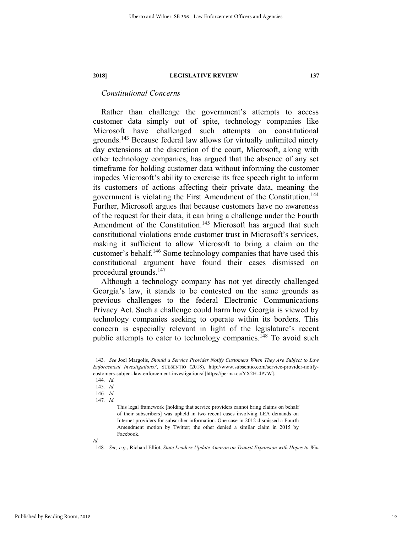### *Constitutional Concerns*

Rather than challenge the government's attempts to access customer data simply out of spite, technology companies like Microsoft have challenged such attempts on constitutional grounds.143 Because federal law allows for virtually unlimited ninety day extensions at the discretion of the court, Microsoft, along with other technology companies, has argued that the absence of any set timeframe for holding customer data without informing the customer impedes Microsoft's ability to exercise its free speech right to inform its customers of actions affecting their private data, meaning the government is violating the First Amendment of the Constitution. 144 Further, Microsoft argues that because customers have no awareness of the request for their data, it can bring a challenge under the Fourth Amendment of the Constitution.<sup>145</sup> Microsoft has argued that such constitutional violations erode customer trust in Microsoft's services, making it sufficient to allow Microsoft to bring a claim on the customer's behalf.<sup>146</sup> Some technology companies that have used this constitutional argument have found their cases dismissed on procedural grounds.147

Although a technology company has not yet directly challenged Georgia's law, it stands to be contested on the same grounds as previous challenges to the federal Electronic Communications Privacy Act. Such a challenge could harm how Georgia is viewed by technology companies seeking to operate within its borders. This concern is especially relevant in light of the legislature's recent public attempts to cater to technology companies.<sup>148</sup> To avoid such

 <sup>143</sup>*. See* Joel Margolis, *Should a Service Provider Notify Customers When They Are Subject to Law Enforcement Investigations?*, SUBSENTIO (2018), http://www.subsentio.com/service-provider-notifycustomers-subject-law-enforcement-investigations/ [https://perma.cc/YX2H-4P7W].

<sup>144</sup>*. Id.*

<sup>145</sup>*. Id.*

<sup>146</sup>*. Id.*

<sup>147</sup>*. Id.*

This legal framework [holding that service providers cannot bring claims on behalf of their subscribers] was upheld in two recent cases involving LEA demands on Internet providers for subscriber information. One case in 2012 dismissed a Fourth Amendment motion by Twitter; the other denied a similar claim in 2015 by Facebook.

*Id.* 

<sup>148</sup>*. See, e.g.*, Richard Elliot, *State Leaders Update Amazon on Transit Expansion with Hopes to Win*